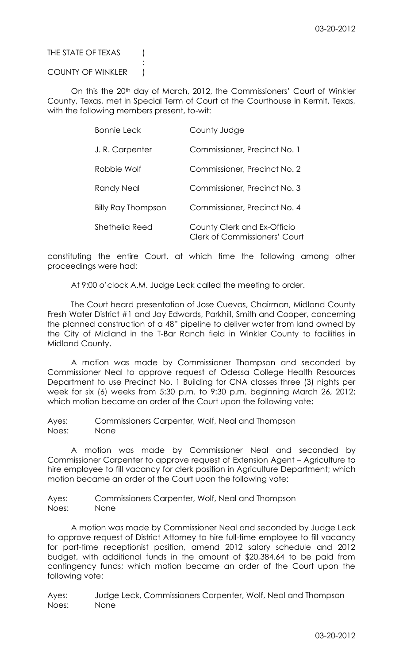## THE STATE OF TEXAS (

## COUNTY OF WINKLER )

:

On this the 20<sup>th</sup> day of March, 2012, the Commissioners' Court of Winkler County, Texas, met in Special Term of Court at the Courthouse in Kermit, Texas, with the following members present, to-wit:

| <b>Bonnie Leck</b>        | County Judge                                                        |
|---------------------------|---------------------------------------------------------------------|
| J.R. Carpenter            | Commissioner, Precinct No. 1                                        |
| Robbie Wolf               | Commissioner, Precinct No. 2                                        |
| Randy Neal                | Commissioner, Precinct No. 3                                        |
| <b>Billy Ray Thompson</b> | Commissioner, Precinct No. 4                                        |
| Shethelia Reed            | County Clerk and Ex-Officio<br><b>Clerk of Commissioners' Court</b> |

constituting the entire Court, at which time the following among other proceedings were had:

At 9:00 o'clock A.M. Judge Leck called the meeting to order.

The Court heard presentation of Jose Cuevas, Chairman, Midland County Fresh Water District #1 and Jay Edwards, Parkhill, Smith and Cooper, concerning the planned construction of a 48" pipeline to deliver water from land owned by the City of Midland in the T-Bar Ranch field in Winkler County to facilities in Midland County.

A motion was made by Commissioner Thompson and seconded by Commissioner Neal to approve request of Odessa College Health Resources Department to use Precinct No. 1 Building for CNA classes three (3) nights per week for six (6) weeks from 5:30 p.m. to 9:30 p.m. beginning March 26, 2012; which motion became an order of the Court upon the following vote:

Ayes: Commissioners Carpenter, Wolf, Neal and Thompson Noes: None

A motion was made by Commissioner Neal and seconded by Commissioner Carpenter to approve request of Extension Agent – Agriculture to hire employee to fill vacancy for clerk position in Agriculture Department; which motion became an order of the Court upon the following vote:

Ayes: Commissioners Carpenter, Wolf, Neal and Thompson Noes: None

A motion was made by Commissioner Neal and seconded by Judge Leck to approve request of District Attorney to hire full-time employee to fill vacancy for part-time receptionist position, amend 2012 salary schedule and 2012 budget, with additional funds in the amount of \$20,384.64 to be paid from contingency funds; which motion became an order of the Court upon the following vote:

Ayes: Judge Leck, Commissioners Carpenter, Wolf, Neal and Thompson Noes: None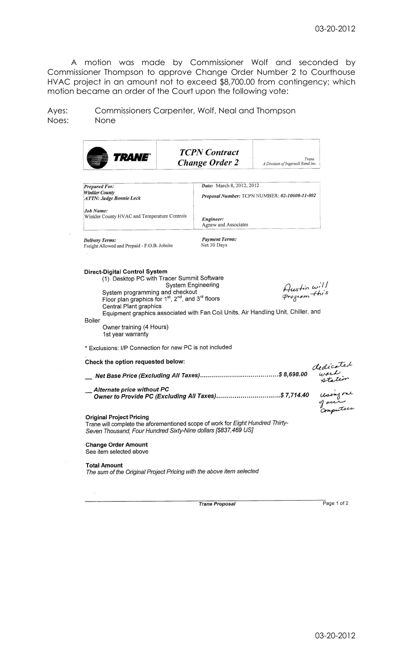A motion was made by Commissioner Wolf and seconded by Commissioner Thompson to approve Change Order Number 2 to Courthouse HVAC project in an amount not to exceed \$8,700.00 from contingency; which motion became an order of the Court upon the following vote:

Ayes: Commissioners Carpenter, Wolf, Neal and Thompson Noes: None

| <i><b>TRANE</b></i>                                                                                                                                                                                                                                             |                                                                            | <b>TCPN</b> Contract<br><b>Change Order 2</b> | Trane<br>A Division of Ingersoll Rand Inc.                                                                        |                                  |
|-----------------------------------------------------------------------------------------------------------------------------------------------------------------------------------------------------------------------------------------------------------------|----------------------------------------------------------------------------|-----------------------------------------------|-------------------------------------------------------------------------------------------------------------------|----------------------------------|
| <b>Prepared For:</b><br><b>Winkler County</b><br><b>ATTN: Judge Bonnie Leck</b>                                                                                                                                                                                 | Date: March 8, 2012, 2012<br>Proposal Number: TCPN NUMBER: 02-10608-11-002 |                                               |                                                                                                                   |                                  |
| Job Name:<br>Winkler County HVAC and Temperature Controls                                                                                                                                                                                                       |                                                                            | Engineer:<br>Agnew and Associates             |                                                                                                                   |                                  |
| <b>Delivery Terms:</b><br>Freight Allowed and Prepaid - F.O.B. Jobsite                                                                                                                                                                                          |                                                                            | <b>Payment Terms:</b><br>Net 30 Days          |                                                                                                                   |                                  |
| Direct-Digital Control System<br>(1) Desktop PC with Tracer Summit Software<br>System programming and checkout<br>Floor plan graphics for $1st$ , $2nd$ , and $3rd$ floors<br>Central Plant graphics<br>Boiler<br>Owner training (4 Hours)<br>1st year warranty | <b>System Engineering</b>                                                  |                                               | Hustin will<br>Program this<br>Equipment graphics associated with Fan Coil Units, Air Handling Unit, Chiller, and |                                  |
| * Exclusions: I/P Connection for new PC is not included                                                                                                                                                                                                         |                                                                            |                                               |                                                                                                                   |                                  |
| Check the option requested below:                                                                                                                                                                                                                               |                                                                            |                                               |                                                                                                                   | dedicated<br>work<br>station     |
| Alternate price without PC<br>Owner to Provide PC (Excluding All Taxes)\$ 7,714.40                                                                                                                                                                              |                                                                            |                                               |                                                                                                                   | using rue<br>of our<br>Computers |
| <b>Original Project Pricing</b><br>Trane will complete the aforementioned scope of work for Eight Hundred Thirty-<br>Seven Thousand, Four Hundred Sixty-Nine dollars [\$837,469 US]                                                                             |                                                                            |                                               |                                                                                                                   |                                  |
| <b>Change Order Amount</b><br>See item selected above                                                                                                                                                                                                           |                                                                            |                                               |                                                                                                                   |                                  |
| <b>Total Amount</b><br>The sum of the Original Project Pricing with the above item selected                                                                                                                                                                     |                                                                            |                                               |                                                                                                                   |                                  |

**Trane Proposal** 

Page 1 of 2